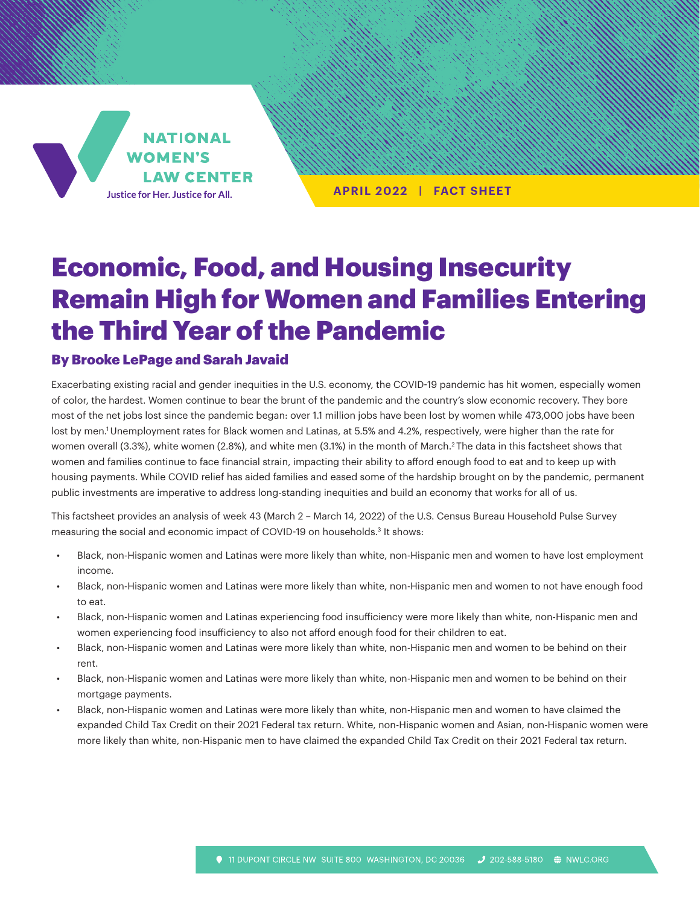**NATIONAL WOMEN'S LAW CENTER** Justice for Her. Justice for All.

**APRIL 2022 | FACT SHEET**

# Economic, Food, and Housing Insecurity Remain High for Women and Families Entering the Third Year of the Pandemic

#### By Brooke LePage and Sarah Javaid

Exacerbating existing racial and gender inequities in the U.S. economy, the COVID-19 pandemic has hit women, especially women of color, the hardest. Women continue to bear the brunt of the pandemic and the country's slow economic recovery. They bore most of the net jobs lost since the pandemic began: over 1.1 million jobs have been lost by women while 473,000 jobs have been lost by men.<sup>1</sup> Unemployment rates for Black women and Latinas, at 5.5% and 4.2%, respectively, were higher than the rate for women overall (3.3%), white women (2.8%), and white men (3.1%) in the month of March.<sup>2</sup> The data in this factsheet shows that women and families continue to face financial strain, impacting their ability to afford enough food to eat and to keep up with housing payments. While COVID relief has aided families and eased some of the hardship brought on by the pandemic, permanent public investments are imperative to address long-standing inequities and build an economy that works for all of us.

This factsheet provides an analysis of week 43 (March 2 – March 14, 2022) of the U.S. Census Bureau Household Pulse Survey measuring the social and economic impact of COVID-19 on households.<sup>3</sup> It shows:

- Black, non-Hispanic women and Latinas were more likely than white, non-Hispanic men and women to have lost employment income.
- Black, non-Hispanic women and Latinas were more likely than white, non-Hispanic men and women to not have enough food to eat.
- Black, non-Hispanic women and Latinas experiencing food insufficiency were more likely than white, non-Hispanic men and women experiencing food insufficiency to also not afford enough food for their children to eat.
- Black, non-Hispanic women and Latinas were more likely than white, non-Hispanic men and women to be behind on their rent.
- Black, non-Hispanic women and Latinas were more likely than white, non-Hispanic men and women to be behind on their mortgage payments.
- Black, non-Hispanic women and Latinas were more likely than white, non-Hispanic men and women to have claimed the expanded Child Tax Credit on their 2021 Federal tax return. White, non-Hispanic women and Asian, non-Hispanic women were more likely than white, non-Hispanic men to have claimed the expanded Child Tax Credit on their 2021 Federal tax return.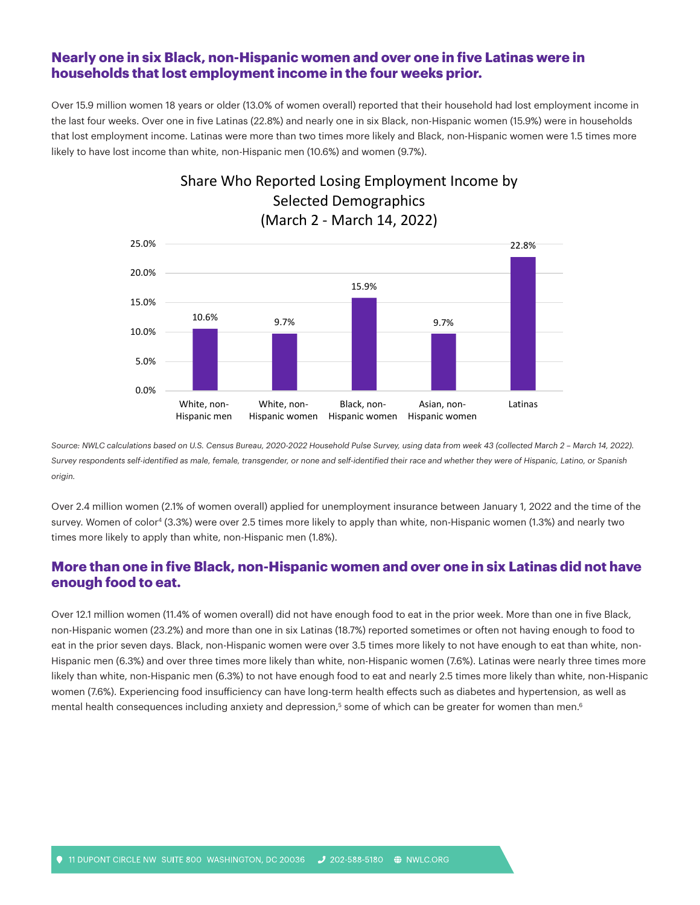#### **Nearly one in six Black, non-Hispanic women and over one in five Latinas were in households that lost employment income in the four weeks prior.**

Over 15.9 million women 18 years or older (13.0% of women overall) reported that their household had lost employment income in the last four weeks. Over one in five Latinas (22.8%) and nearly one in six Black, non-Hispanic women (15.9%) were in households that lost employment income. Latinas were more than two times more likely and Black, non-Hispanic women were 1.5 times more likely to have lost income than white, non-Hispanic men (10.6%) and women (9.7%).

Share Who Reported Losing Employment Income by



Source: NWLC calculations based on U.S. Census Bureau, 2020-2022 Household Pulse Survey, using data from week 43 (collected March 2 - March 14, 2022). *Survey respondents self-identified as male, female, transgender, or none and self-identified their race and whether they were of Hispanic, Latino, or Spanish origin.*

Over 2.4 million women (2.1% of women overall) applied for unemployment insurance between January 1, 2022 and the time of the survey. Women of color<sup>4</sup> (3.3%) were over 2.5 times more likely to apply than white, non-Hispanic women (1.3%) and nearly two times more likely to apply than white, non-Hispanic men (1.8%).

## **More than one in five Black, non-Hispanic women and over one in six Latinas did not have enough food to eat.**

Over 12.1 million women (11.4% of women overall) did not have enough food to eat in the prior week. More than one in five Black, non-Hispanic women (23.2%) and more than one in six Latinas (18.7%) reported sometimes or often not having enough to food to eat in the prior seven days. Black, non-Hispanic women were over 3.5 times more likely to not have enough to eat than white, non-Hispanic men (6.3%) and over three times more likely than white, non-Hispanic women (7.6%). Latinas were nearly three times more likely than white, non-Hispanic men (6.3%) to not have enough food to eat and nearly 2.5 times more likely than white, non-Hispanic women (7.6%). Experiencing food insufficiency can have long-term health effects such as diabetes and hypertension, as well as mental health consequences including anxiety and depression,<sup>5</sup> some of which can be greater for women than men.<sup>6</sup>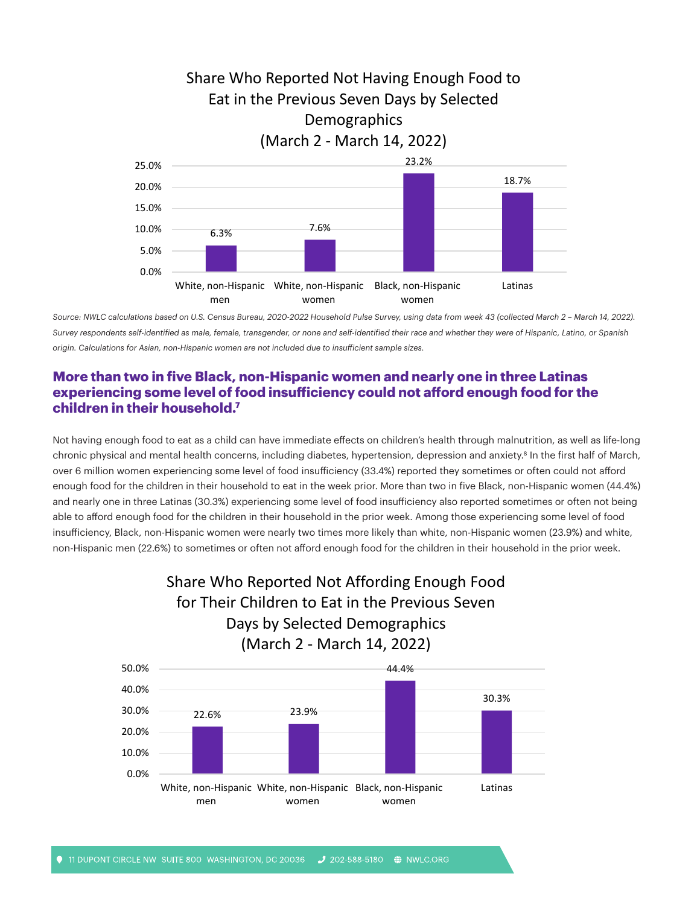

*Source: NWLC calculations based on U.S. Census Bureau, 2020-2022 Household Pulse Survey, using data from week 43 (collected March 2 – March 14, 2022). Survey respondents self-identified as male, female, transgender, or none and self-identified their race and whether they were of Hispanic, Latino, or Spanish origin. Calculations for Asian, non-Hispanic women are not included due to insufficient sample sizes.*

## **More than two in five Black, non-Hispanic women and nearly one in three Latinas experiencing some level of food insufficiency could not afford enough food for the children in their household.7**

Not having enough food to eat as a child can have immediate effects on children's health through malnutrition, as well as life-long chronic physical and mental health concerns, including diabetes, hypertension, depression and anxiety.<sup>8</sup> In the first half of March, over 6 million women experiencing some level of food insufficiency (33.4%) reported they sometimes or often could not afford enough food for the children in their household to eat in the week prior. More than two in five Black, non-Hispanic women (44.4%) and nearly one in three Latinas (30.3%) experiencing some level of food insufficiency also reported sometimes or often not being able to afford enough food for the children in their household in the prior week. Among those experiencing some level of food insufficiency, Black, non-Hispanic women were nearly two times more likely than white, non-Hispanic women (23.9%) and white, non-Hispanic men (22.6%) to sometimes or often not afford enough food for the children in their household in the prior week.



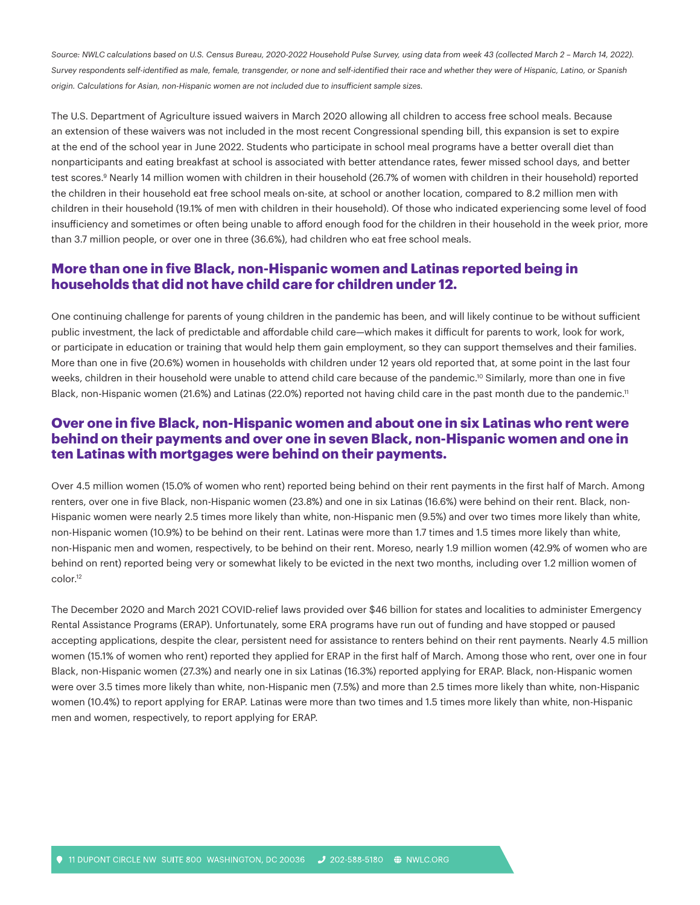Source: NWLC calculations based on U.S. Census Bureau, 2020-2022 Household Pulse Survey, using data from week 43 (collected March 2 - March 14, 2022). *Survey respondents self-identified as male, female, transgender, or none and self-identified their race and whether they were of Hispanic, Latino, or Spanish origin. Calculations for Asian, non-Hispanic women are not included due to insufficient sample sizes.*

The U.S. Department of Agriculture issued waivers in March 2020 allowing all children to access free school meals. Because an extension of these waivers was not included in the most recent Congressional spending bill, this expansion is set to expire at the end of the school year in June 2022. Students who participate in school meal programs have a better overall diet than nonparticipants and eating breakfast at school is associated with better attendance rates, fewer missed school days, and better test scores.<sup>9</sup> Nearly 14 million women with children in their household (26.7% of women with children in their household) reported the children in their household eat free school meals on-site, at school or another location, compared to 8.2 million men with children in their household (19.1% of men with children in their household). Of those who indicated experiencing some level of food insufficiency and sometimes or often being unable to afford enough food for the children in their household in the week prior, more than 3.7 million people, or over one in three (36.6%), had children who eat free school meals.

#### **More than one in five Black, non-Hispanic women and Latinas reported being in households that did not have child care for children under 12.**

One continuing challenge for parents of young children in the pandemic has been, and will likely continue to be without sufficient public investment, the lack of predictable and affordable child care—which makes it difficult for parents to work, look for work, or participate in education or training that would help them gain employment, so they can support themselves and their families. More than one in five (20.6%) women in households with children under 12 years old reported that, at some point in the last four weeks, children in their household were unable to attend child care because of the pandemic.<sup>10</sup> Similarly, more than one in five Black, non-Hispanic women (21.6%) and Latinas (22.0%) reported not having child care in the past month due to the pandemic.<sup>11</sup>

#### **Over one in five Black, non-Hispanic women and about one in six Latinas who rent were behind on their payments and over one in seven Black, non-Hispanic women and one in ten Latinas with mortgages were behind on their payments.**

Over 4.5 million women (15.0% of women who rent) reported being behind on their rent payments in the first half of March. Among renters, over one in five Black, non-Hispanic women (23.8%) and one in six Latinas (16.6%) were behind on their rent. Black, non-Hispanic women were nearly 2.5 times more likely than white, non-Hispanic men (9.5%) and over two times more likely than white, non-Hispanic women (10.9%) to be behind on their rent. Latinas were more than 1.7 times and 1.5 times more likely than white, non-Hispanic men and women, respectively, to be behind on their rent. Moreso, nearly 1.9 million women (42.9% of women who are behind on rent) reported being very or somewhat likely to be evicted in the next two months, including over 1.2 million women of color.12

The December 2020 and March 2021 COVID-relief laws provided over \$46 billion for states and localities to administer Emergency Rental Assistance Programs (ERAP). Unfortunately, some ERA programs have run out of funding and have stopped or paused accepting applications, despite the clear, persistent need for assistance to renters behind on their rent payments. Nearly 4.5 million women (15.1% of women who rent) reported they applied for ERAP in the first half of March. Among those who rent, over one in four Black, non-Hispanic women (27.3%) and nearly one in six Latinas (16.3%) reported applying for ERAP. Black, non-Hispanic women were over 3.5 times more likely than white, non-Hispanic men (7.5%) and more than 2.5 times more likely than white, non-Hispanic women (10.4%) to report applying for ERAP. Latinas were more than two times and 1.5 times more likely than white, non-Hispanic men and women, respectively, to report applying for ERAP.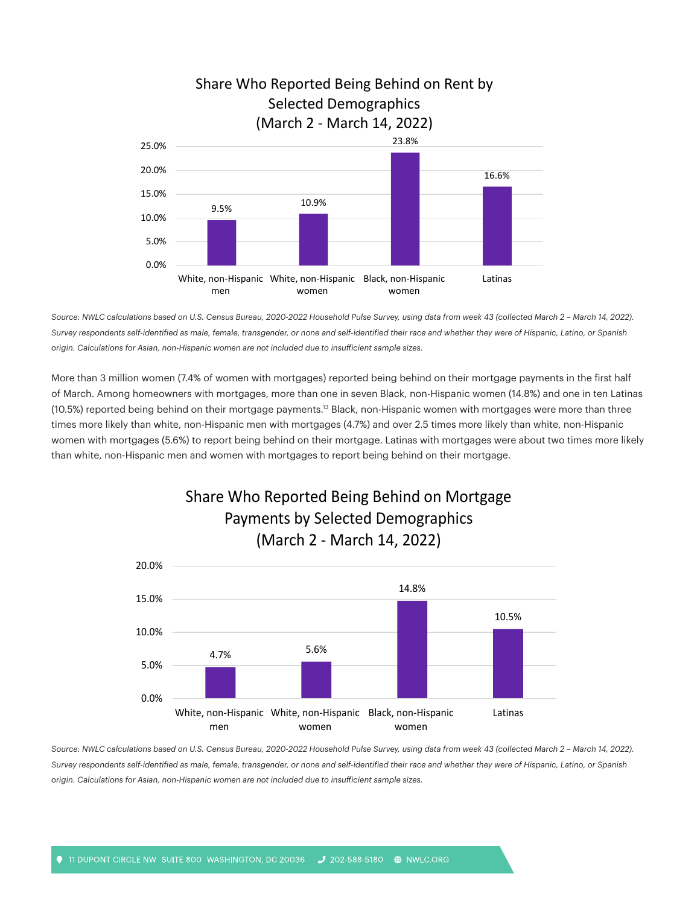

*Source: NWLC calculations based on U.S. Census Bureau, 2020-2022 Household Pulse Survey, using data from week 43 (collected March 2 – March 14, 2022). Survey respondents self-identified as male, female, transgender, or none and self-identified their race and whether they were of Hispanic, Latino, or Spanish origin. Calculations for Asian, non-Hispanic women are not included due to insufficient sample sizes.*

More than 3 million women (7.4% of women with mortgages) reported being behind on their mortgage payments in the first half of March. Among homeowners with mortgages, more than one in seven Black, non-Hispanic women (14.8%) and one in ten Latinas (10.5%) reported being behind on their mortgage payments.<sup>13</sup> Black, non-Hispanic women with mortgages were more than three times more likely than white, non-Hispanic men with mortgages (4.7%) and over 2.5 times more likely than white, non-Hispanic women with mortgages (5.6%) to report being behind on their mortgage. Latinas with mortgages were about two times more likely than white, non-Hispanic men and women with mortgages to report being behind on their mortgage.





Source: NWLC calculations based on U.S. Census Bureau, 2020-2022 Household Pulse Survey, using data from week 43 (collected March 2 - March 14, 2022). *Survey respondents self-identified as male, female, transgender, or none and self-identified their race and whether they were of Hispanic, Latino, or Spanish origin. Calculations for Asian, non-Hispanic women are not included due to insufficient sample sizes.*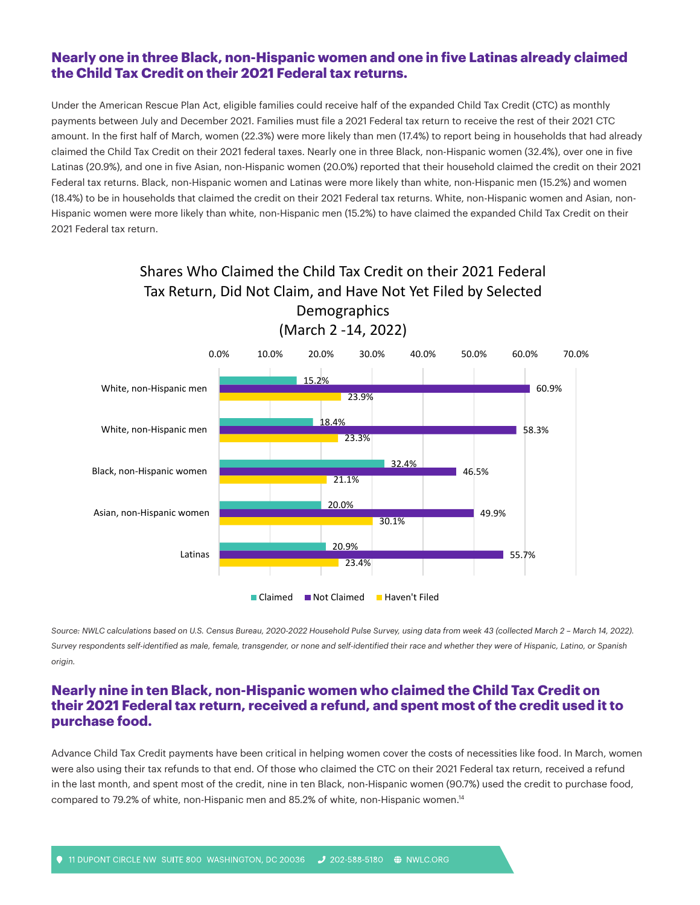## **Nearly one in three Black, non-Hispanic women and one in five Latinas already claimed the Child Tax Credit on their 2021 Federal tax returns.**

Under the American Rescue Plan Act, eligible families could receive half of the expanded Child Tax Credit (CTC) as monthly payments between July and December 2021. Families must file a 2021 Federal tax return to receive the rest of their 2021 CTC amount. In the first half of March, women (22.3%) were more likely than men (17.4%) to report being in households that had already claimed the Child Tax Credit on their 2021 federal taxes. Nearly one in three Black, non-Hispanic women (32.4%), over one in five Latinas (20.9%), and one in five Asian, non-Hispanic women (20.0%) reported that their household claimed the credit on their 2021 Federal tax returns. Black, non-Hispanic women and Latinas were more likely than white, non-Hispanic men (15.2%) and women (18.4%) to be in households that claimed the credit on their 2021 Federal tax returns. White, non-Hispanic women and Asian, non-Hispanic women were more likely than white, non-Hispanic men (15.2%) to have claimed the expanded Child Tax Credit on their 2021 Federal tax return.



Source: NWLC calculations based on U.S. Census Bureau, 2020-2022 Household Pulse Survey, using data from week 43 (collected March 2 - March 14, 2022). *Survey respondents self-identified as male, female, transgender, or none and self-identified their race and whether they were of Hispanic, Latino, or Spanish origin.*

## **Nearly nine in ten Black, non-Hispanic women who claimed the Child Tax Credit on their 2021 Federal tax return, received a refund, and spent most of the credit used it to purchase food.**

Advance Child Tax Credit payments have been critical in helping women cover the costs of necessities like food. In March, women were also using their tax refunds to that end. Of those who claimed the CTC on their 2021 Federal tax return, received a refund in the last month, and spent most of the credit, nine in ten Black, non-Hispanic women (90.7%) used the credit to purchase food, compared to 79.2% of white, non-Hispanic men and 85.2% of white, non-Hispanic women.14